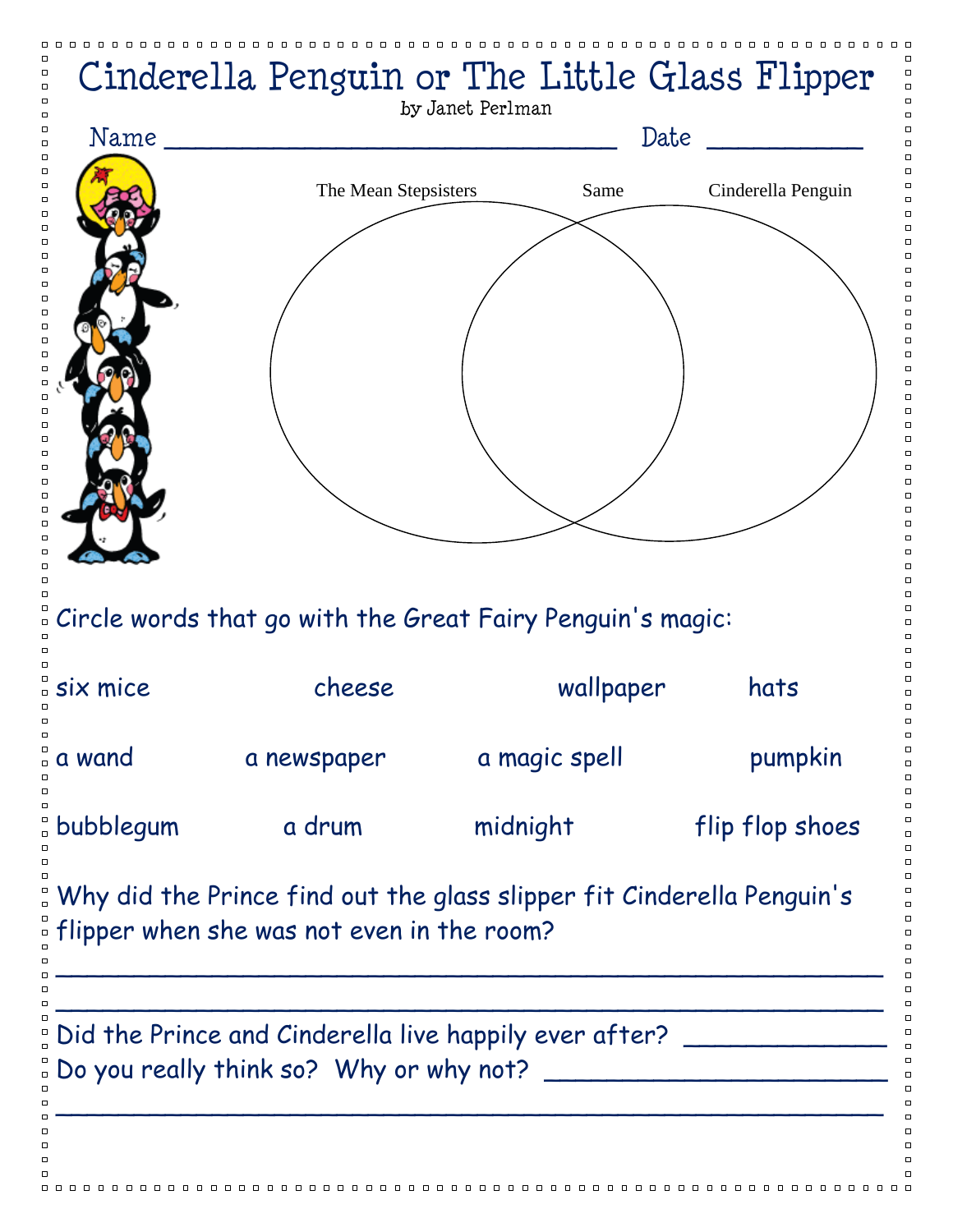|           | Cinderella Penguin or The Little Glass Flipper                                                                      | by Janet Perlman |           |                    |
|-----------|---------------------------------------------------------------------------------------------------------------------|------------------|-----------|--------------------|
| Name      |                                                                                                                     |                  | Date      |                    |
|           | The Mean Stepsisters                                                                                                |                  | Same      | Cinderella Penguin |
|           |                                                                                                                     |                  |           |                    |
|           |                                                                                                                     |                  |           |                    |
|           | Circle words that go with the Great Fairy Penguin's magic:                                                          |                  |           |                    |
| six mice  | cheese                                                                                                              |                  | wallpaper | hats               |
| a wand    | a newspaper                                                                                                         | a magic spell    |           | pumpkin            |
| bubblegum | a drum                                                                                                              | midnight         |           | flip flop shoes    |
|           | Why did the Prince find out the glass slipper fit Cinderella Penguin's<br>Hipper when she was not even in the room? |                  |           |                    |
|           | Did the Prince and Cinderella live happily ever after?                                                              |                  |           |                    |
|           |                                                                                                                     |                  |           |                    |